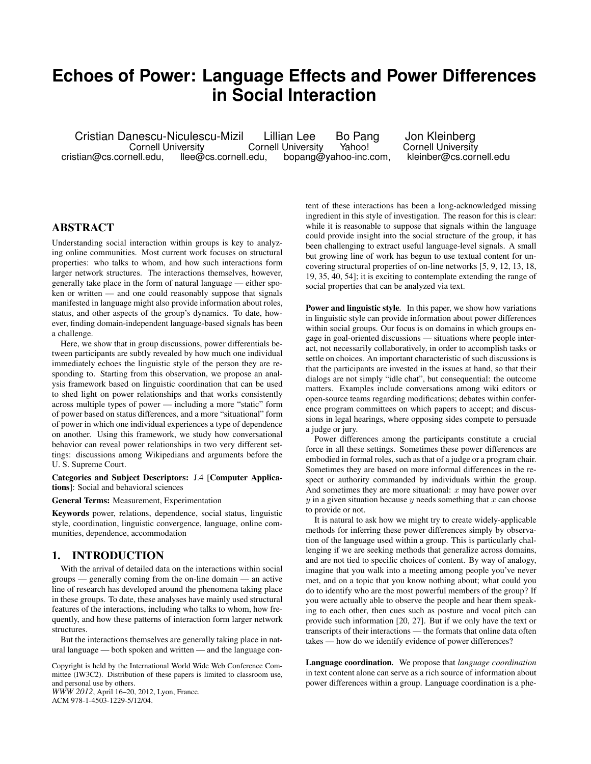# **Echoes of Power: Language Effects and Power Differences in Social Interaction**

Cristian Danescu-Niculescu-Mizil Lillian Lee Bo Pang Jon Kleinberg Cornell University cristian@cs.cornell.edu, llee@cs.cornell.edu, bopang@yahoo-inc.com, kleinber@cs.cornell.edu

# ABSTRACT

Understanding social interaction within groups is key to analyzing online communities. Most current work focuses on structural properties: who talks to whom, and how such interactions form larger network structures. The interactions themselves, however, generally take place in the form of natural language — either spoken or written — and one could reasonably suppose that signals manifested in language might also provide information about roles, status, and other aspects of the group's dynamics. To date, however, finding domain-independent language-based signals has been a challenge.

Here, we show that in group discussions, power differentials between participants are subtly revealed by how much one individual immediately echoes the linguistic style of the person they are responding to. Starting from this observation, we propose an analysis framework based on linguistic coordination that can be used to shed light on power relationships and that works consistently across multiple types of power — including a more "static" form of power based on status differences, and a more "situational" form of power in which one individual experiences a type of dependence on another. Using this framework, we study how conversational behavior can reveal power relationships in two very different settings: discussions among Wikipedians and arguments before the U. S. Supreme Court.

Categories and Subject Descriptors: J.4 [Computer Applications]: Social and behavioral sciences

General Terms: Measurement, Experimentation

Keywords power, relations, dependence, social status, linguistic style, coordination, linguistic convergence, language, online communities, dependence, accommodation

# 1. INTRODUCTION

With the arrival of detailed data on the interactions within social groups — generally coming from the on-line domain — an active line of research has developed around the phenomena taking place in these groups. To date, these analyses have mainly used structural features of the interactions, including who talks to whom, how frequently, and how these patterns of interaction form larger network structures.

But the interactions themselves are generally taking place in natural language — both spoken and written — and the language con-

Copyright is held by the International World Wide Web Conference Committee (IW3C2). Distribution of these papers is limited to classroom use, and personal use by others.

*WWW 2012*, April 16–20, 2012, Lyon, France. ACM 978-1-4503-1229-5/12/04.

tent of these interactions has been a long-acknowledged missing ingredient in this style of investigation. The reason for this is clear: while it is reasonable to suppose that signals within the language could provide insight into the social structure of the group, it has been challenging to extract useful language-level signals. A small but growing line of work has begun to use textual content for uncovering structural properties of on-line networks [5, 9, 12, 13, 18, 19, 35, 40, 54]; it is exciting to contemplate extending the range of social properties that can be analyzed via text.

Power and linguistic style*.* In this paper, we show how variations in linguistic style can provide information about power differences within social groups. Our focus is on domains in which groups engage in goal-oriented discussions — situations where people interact, not necessarily collaboratively, in order to accomplish tasks or settle on choices. An important characteristic of such discussions is that the participants are invested in the issues at hand, so that their dialogs are not simply "idle chat", but consequential: the outcome matters. Examples include conversations among wiki editors or open-source teams regarding modifications; debates within conference program committees on which papers to accept; and discussions in legal hearings, where opposing sides compete to persuade a judge or jury.

Power differences among the participants constitute a crucial force in all these settings. Sometimes these power differences are embodied in formal roles, such as that of a judge or a program chair. Sometimes they are based on more informal differences in the respect or authority commanded by individuals within the group. And sometimes they are more situational:  $x$  may have power over  $y$  in a given situation because  $y$  needs something that  $x$  can choose to provide or not.

It is natural to ask how we might try to create widely-applicable methods for inferring these power differences simply by observation of the language used within a group. This is particularly challenging if we are seeking methods that generalize across domains, and are not tied to specific choices of content. By way of analogy, imagine that you walk into a meeting among people you've never met, and on a topic that you know nothing about; what could you do to identify who are the most powerful members of the group? If you were actually able to observe the people and hear them speaking to each other, then cues such as posture and vocal pitch can provide such information [20, 27]. But if we only have the text or transcripts of their interactions — the formats that online data often takes — how do we identify evidence of power differences?

Language coordination*.* We propose that *language coordination* in text content alone can serve as a rich source of information about power differences within a group. Language coordination is a phe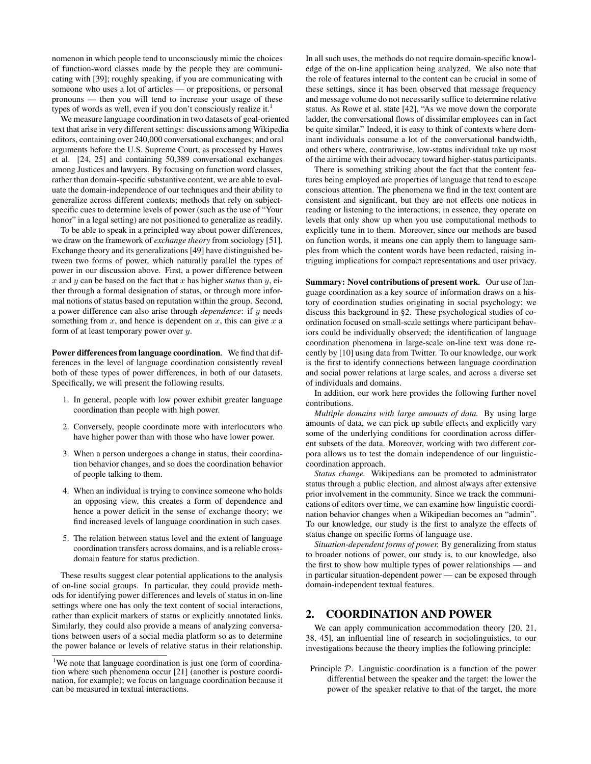nomenon in which people tend to unconsciously mimic the choices of function-word classes made by the people they are communicating with [39]; roughly speaking, if you are communicating with someone who uses a lot of articles — or prepositions, or personal pronouns — then you will tend to increase your usage of these types of words as well, even if you don't consciously realize it.<sup>1</sup>

We measure language coordination in two datasets of goal-oriented text that arise in very different settings: discussions among Wikipedia editors, containing over 240,000 conversational exchanges; and oral arguments before the U.S. Supreme Court, as processed by Hawes et al. [24, 25] and containing 50,389 conversational exchanges among Justices and lawyers. By focusing on function word classes, rather than domain-specific substantive content, we are able to evaluate the domain-independence of our techniques and their ability to generalize across different contexts; methods that rely on subjectspecific cues to determine levels of power (such as the use of "Your honor" in a legal setting) are not positioned to generalize as readily.

To be able to speak in a principled way about power differences, we draw on the framework of *exchange theory* from sociology [51]. Exchange theory and its generalizations [49] have distinguished between two forms of power, which naturally parallel the types of power in our discussion above. First, a power difference between x and y can be based on the fact that x has higher *status* than y, either through a formal designation of status, or through more informal notions of status based on reputation within the group. Second, a power difference can also arise through *dependence*: if y needs something from  $x$ , and hence is dependent on  $x$ , this can give  $x$  a form of at least temporary power over y.

Power differences from language coordination*.* We find that differences in the level of language coordination consistently reveal both of these types of power differences, in both of our datasets. Specifically, we will present the following results.

- 1. In general, people with low power exhibit greater language coordination than people with high power.
- 2. Conversely, people coordinate more with interlocutors who have higher power than with those who have lower power.
- 3. When a person undergoes a change in status, their coordination behavior changes, and so does the coordination behavior of people talking to them.
- 4. When an individual is trying to convince someone who holds an opposing view, this creates a form of dependence and hence a power deficit in the sense of exchange theory; we find increased levels of language coordination in such cases.
- 5. The relation between status level and the extent of language coordination transfers across domains, and is a reliable crossdomain feature for status prediction.

These results suggest clear potential applications to the analysis of on-line social groups. In particular, they could provide methods for identifying power differences and levels of status in on-line settings where one has only the text content of social interactions, rather than explicit markers of status or explicitly annotated links. Similarly, they could also provide a means of analyzing conversations between users of a social media platform so as to determine the power balance or levels of relative status in their relationship. In all such uses, the methods do not require domain-specific knowledge of the on-line application being analyzed. We also note that the role of features internal to the content can be crucial in some of these settings, since it has been observed that message frequency and message volume do not necessarily suffice to determine relative status. As Rowe et al. state [42], "As we move down the corporate ladder, the conversational flows of dissimilar employees can in fact be quite similar." Indeed, it is easy to think of contexts where dominant individuals consume a lot of the conversational bandwidth, and others where, contrariwise, low-status individual take up most of the airtime with their advocacy toward higher-status participants.

There is something striking about the fact that the content features being employed are properties of language that tend to escape conscious attention. The phenomena we find in the text content are consistent and significant, but they are not effects one notices in reading or listening to the interactions; in essence, they operate on levels that only show up when you use computational methods to explicitly tune in to them. Moreover, since our methods are based on function words, it means one can apply them to language samples from which the content words have been redacted, raising intriguing implications for compact representations and user privacy.

Summary: Novel contributions of present work*.* Our use of language coordination as a key source of information draws on a history of coordination studies originating in social psychology; we discuss this background in §2. These psychological studies of coordination focused on small-scale settings where participant behaviors could be individually observed; the identification of language coordination phenomena in large-scale on-line text was done recently by [10] using data from Twitter. To our knowledge, our work is the first to identify connections between language coordination and social power relations at large scales, and across a diverse set of individuals and domains.

In addition, our work here provides the following further novel contributions.

*Multiple domains with large amounts of data.* By using large amounts of data, we can pick up subtle effects and explicitly vary some of the underlying conditions for coordination across different subsets of the data. Moreover, working with two different corpora allows us to test the domain independence of our linguisticcoordination approach.

*Status change.* Wikipedians can be promoted to administrator status through a public election, and almost always after extensive prior involvement in the community. Since we track the communications of editors over time, we can examine how linguistic coordination behavior changes when a Wikipedian becomes an "admin". To our knowledge, our study is the first to analyze the effects of status change on specific forms of language use.

*Situation-dependent forms of power.* By generalizing from status to broader notions of power, our study is, to our knowledge, also the first to show how multiple types of power relationships — and in particular situation-dependent power — can be exposed through domain-independent textual features.

# 2. COORDINATION AND POWER

We can apply communication accommodation theory [20, 21, 38, 45], an influential line of research in sociolinguistics, to our investigations because the theory implies the following principle:

Principle P. Linguistic coordination is a function of the power differential between the speaker and the target: the lower the power of the speaker relative to that of the target, the more

<sup>&</sup>lt;sup>1</sup>We note that language coordination is just one form of coordination where such phenomena occur [21] (another is posture coordination, for example); we focus on language coordination because it can be measured in textual interactions.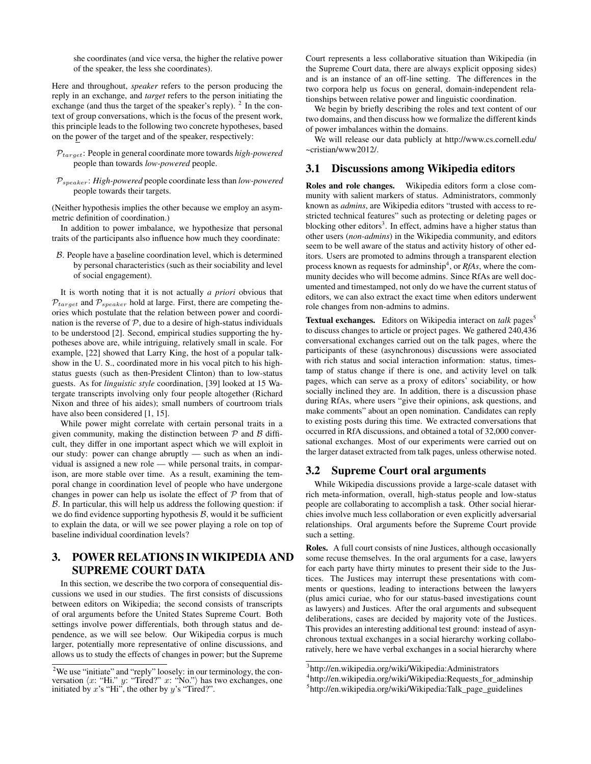she coordinates (and vice versa, the higher the relative power of the speaker, the less she coordinates).

Here and throughout, *speaker* refers to the person producing the reply in an exchange, and *target* refers to the person initiating the exchange (and thus the target of the speaker's reply).  $2 \text{ In the con-}$ text of group conversations, which is the focus of the present work, this principle leads to the following two concrete hypotheses, based on the power of the target and of the speaker, respectively:

- Ptarget: People in general coordinate more towards *high-powered* people than towards *low-powered* people.
- Pspeaker: *High-powered* people coordinate less than *low-powered* people towards their targets.

(Neither hypothesis implies the other because we employ an asymmetric definition of coordination.)

In addition to power imbalance, we hypothesize that personal traits of the participants also influence how much they coordinate:

B. People have a baseline coordination level, which is determined by personal characteristics (such as their sociability and level of social engagement).

It is worth noting that it is not actually *a priori* obvious that  $\mathcal{P}_{target}$  and  $\mathcal{P}_{speaker}$  hold at large. First, there are competing theories which postulate that the relation between power and coordination is the reverse of  $P$ , due to a desire of high-status individuals to be understood [2]. Second, empirical studies supporting the hypotheses above are, while intriguing, relatively small in scale. For example, [22] showed that Larry King, the host of a popular talkshow in the U. S., coordinated more in his vocal pitch to his highstatus guests (such as then-President Clinton) than to low-status guests. As for *linguistic style* coordination, [39] looked at 15 Watergate transcripts involving only four people altogether (Richard Nixon and three of his aides); small numbers of courtroom trials have also been considered [1, 15].

While power might correlate with certain personal traits in a given community, making the distinction between  $P$  and  $B$  difficult, they differ in one important aspect which we will exploit in our study: power can change abruptly — such as when an individual is assigned a new role — while personal traits, in comparison, are more stable over time. As a result, examining the temporal change in coordination level of people who have undergone changes in power can help us isolate the effect of  $P$  from that of  $\beta$ . In particular, this will help us address the following question: if we do find evidence supporting hypothesis  $B$ , would it be sufficient to explain the data, or will we see power playing a role on top of baseline individual coordination levels?

# 3. POWER RELATIONS IN WIKIPEDIA AND SUPREME COURT DATA

In this section, we describe the two corpora of consequential discussions we used in our studies. The first consists of discussions between editors on Wikipedia; the second consists of transcripts of oral arguments before the United States Supreme Court. Both settings involve power differentials, both through status and dependence, as we will see below. Our Wikipedia corpus is much larger, potentially more representative of online discussions, and allows us to study the effects of changes in power; but the Supreme

Court represents a less collaborative situation than Wikipedia (in the Supreme Court data, there are always explicit opposing sides) and is an instance of an off-line setting. The differences in the two corpora help us focus on general, domain-independent relationships between relative power and linguistic coordination.

We begin by briefly describing the roles and text content of our two domains, and then discuss how we formalize the different kinds of power imbalances within the domains.

We will release our data publicly at http://www.cs.cornell.edu/ ~cristian/www2012/.

# 3.1 Discussions among Wikipedia editors

Roles and role changes. Wikipedia editors form a close community with salient markers of status. Administrators, commonly known as *admins*, are Wikipedia editors "trusted with access to restricted technical features" such as protecting or deleting pages or blocking other editors<sup>3</sup>. In effect, admins have a higher status than other users (*non-admins*) in the Wikipedia community, and editors seem to be well aware of the status and activity history of other editors. Users are promoted to admins through a transparent election process known as requests for adminship<sup>4</sup>, or *RfAs*, where the community decides who will become admins. Since RfAs are well documented and timestamped, not only do we have the current status of editors, we can also extract the exact time when editors underwent role changes from non-admins to admins.

Textual exchanges. Editors on Wikipedia interact on *talk* pages<sup>5</sup> to discuss changes to article or project pages. We gathered 240,436 conversational exchanges carried out on the talk pages, where the participants of these (asynchronous) discussions were associated with rich status and social interaction information: status, timestamp of status change if there is one, and activity level on talk pages, which can serve as a proxy of editors' sociability, or how socially inclined they are. In addition, there is a discussion phase during RfAs, where users "give their opinions, ask questions, and make comments" about an open nomination. Candidates can reply to existing posts during this time. We extracted conversations that occurred in RfA discussions, and obtained a total of 32,000 conversational exchanges. Most of our experiments were carried out on the larger dataset extracted from talk pages, unless otherwise noted.

# 3.2 Supreme Court oral arguments

While Wikipedia discussions provide a large-scale dataset with rich meta-information, overall, high-status people and low-status people are collaborating to accomplish a task. Other social hierarchies involve much less collaboration or even explicitly adversarial relationships. Oral arguments before the Supreme Court provide such a setting.

Roles. A full court consists of nine Justices, although occasionally some recuse themselves. In the oral arguments for a case, lawyers for each party have thirty minutes to present their side to the Justices. The Justices may interrupt these presentations with comments or questions, leading to interactions between the lawyers (plus amici curiae, who for our status-based investigations count as lawyers) and Justices. After the oral arguments and subsequent deliberations, cases are decided by majority vote of the Justices. This provides an interesting additional test ground: instead of asynchronous textual exchanges in a social hierarchy working collaboratively, here we have verbal exchanges in a social hierarchy where

<sup>&</sup>lt;sup>2</sup>We use "initiate" and "reply" loosely: in our terminology, the conversation  $\langle x: "Hi." y: "Tired?" x: "No." \rangle$  has two exchanges, one initiated by  $x$ 's "Hi", the other by  $y$ 's "Tired?".

<sup>3</sup> http://en.wikipedia.org/wiki/Wikipedia:Administrators

<sup>4</sup> http://en.wikipedia.org/wiki/Wikipedia:Requests\_for\_adminship

<sup>5</sup> http://en.wikipedia.org/wiki/Wikipedia:Talk\_page\_guidelines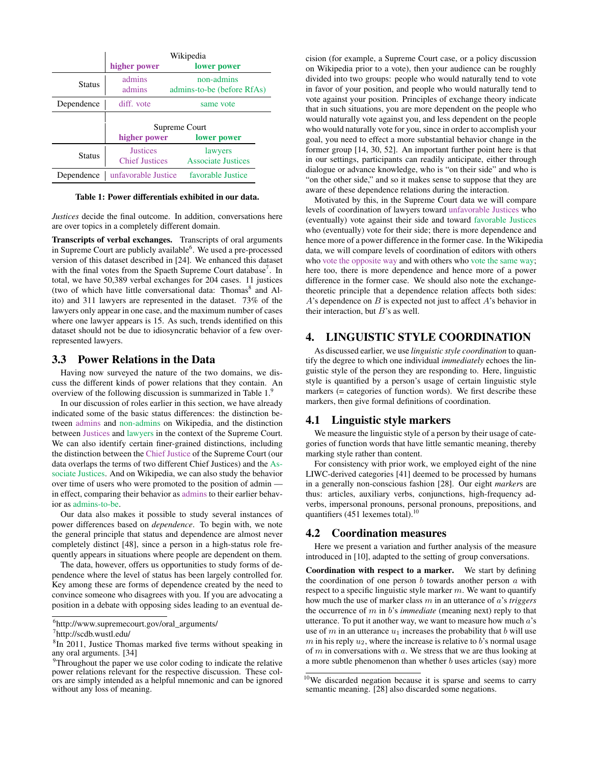|               | Wikipedia<br>higher power<br>lower power     |                                          |  |  |
|---------------|----------------------------------------------|------------------------------------------|--|--|
| <b>Status</b> | admins<br>admins                             | non-admins<br>admins-to-be (before RfAs) |  |  |
| Dependence    | diff. vote                                   | same vote                                |  |  |
|               | Supreme Court<br>higher power<br>lower power |                                          |  |  |
| <b>Status</b> | <b>Instices</b><br><b>Chief Justices</b>     | lawyers<br><b>Associate Justices</b>     |  |  |
| Dependence    | unfavorable Justice                          | favorable Justice                        |  |  |

Table 1: Power differentials exhibited in our data.

*Justices* decide the final outcome. In addition, conversations here are over topics in a completely different domain.

Transcripts of verbal exchanges. Transcripts of oral arguments in Supreme Court are publicly available<sup>6</sup>. We used a pre-processed version of this dataset described in [24]. We enhanced this dataset with the final votes from the Spaeth Supreme Court database<sup>7</sup>. In total, we have 50,389 verbal exchanges for 204 cases. 11 justices (two of which have little conversational data: Thomas<sup>8</sup> and Alito) and 311 lawyers are represented in the dataset. 73% of the lawyers only appear in one case, and the maximum number of cases where one lawyer appears is 15. As such, trends identified on this dataset should not be due to idiosyncratic behavior of a few overrepresented lawyers.

## 3.3 Power Relations in the Data

Having now surveyed the nature of the two domains, we discuss the different kinds of power relations that they contain. An overview of the following discussion is summarized in Table 1.<sup>9</sup>

In our discussion of roles earlier in this section, we have already indicated some of the basic status differences: the distinction between admins and non-admins on Wikipedia, and the distinction between Justices and lawyers in the context of the Supreme Court. We can also identify certain finer-grained distinctions, including the distinction between the Chief Justice of the Supreme Court (our data overlaps the terms of two different Chief Justices) and the Associate Justices. And on Wikipedia, we can also study the behavior over time of users who were promoted to the position of admin in effect, comparing their behavior as admins to their earlier behavior as admins-to-be.

Our data also makes it possible to study several instances of power differences based on *dependence*. To begin with, we note the general principle that status and dependence are almost never completely distinct [48], since a person in a high-status role frequently appears in situations where people are dependent on them.

The data, however, offers us opportunities to study forms of dependence where the level of status has been largely controlled for. Key among these are forms of dependence created by the need to convince someone who disagrees with you. If you are advocating a position in a debate with opposing sides leading to an eventual decision (for example, a Supreme Court case, or a policy discussion on Wikipedia prior to a vote), then your audience can be roughly divided into two groups: people who would naturally tend to vote in favor of your position, and people who would naturally tend to vote against your position. Principles of exchange theory indicate that in such situations, you are more dependent on the people who would naturally vote against you, and less dependent on the people who would naturally vote for you, since in order to accomplish your goal, you need to effect a more substantial behavior change in the former group [14, 30, 52]. An important further point here is that in our settings, participants can readily anticipate, either through dialogue or advance knowledge, who is "on their side" and who is "on the other side," and so it makes sense to suppose that they are aware of these dependence relations during the interaction.

Motivated by this, in the Supreme Court data we will compare levels of coordination of lawyers toward unfavorable Justices who (eventually) vote against their side and toward favorable Justices who (eventually) vote for their side; there is more dependence and hence more of a power difference in the former case. In the Wikipedia data, we will compare levels of coordination of editors with others who vote the opposite way and with others who vote the same way; here too, there is more dependence and hence more of a power difference in the former case. We should also note the exchangetheoretic principle that a dependence relation affects both sides:  $A$ 's dependence on  $B$  is expected not just to affect  $A$ 's behavior in their interaction, but  $B$ 's as well.

# 4. LINGUISTIC STYLE COORDINATION

As discussed earlier, we use *linguistic style coordination* to quantify the degree to which one individual *immediately* echoes the linguistic style of the person they are responding to. Here, linguistic style is quantified by a person's usage of certain linguistic style markers (= categories of function words). We first describe these markers, then give formal definitions of coordination.

#### 4.1 Linguistic style markers

We measure the linguistic style of a person by their usage of categories of function words that have little semantic meaning, thereby marking style rather than content.

For consistency with prior work, we employed eight of the nine LIWC-derived categories [41] deemed to be processed by humans in a generally non-conscious fashion [28]. Our eight *marker*s are thus: articles, auxiliary verbs, conjunctions, high-frequency adverbs, impersonal pronouns, personal pronouns, prepositions, and quantifiers (451 lexemes total).<sup>10</sup>

# 4.2 Coordination measures

Here we present a variation and further analysis of the measure introduced in [10], adapted to the setting of group conversations.

Coordination with respect to a marker. We start by defining the coordination of one person  $b$  towards another person  $a$  with respect to a specific linguistic style marker  $m$ . We want to quantify how much the use of marker class m in an utterance of a's *triggers* the occurrence of m in b's *immediate* (meaning next) reply to that utterance. To put it another way, we want to measure how much  $a$ 's use of  $m$  in an utterance  $u_1$  increases the probability that  $b$  will use  $m$  in his reply  $u_2$ , where the increase is relative to b's normal usage of  $m$  in conversations with  $a$ . We stress that we are thus looking at a more subtle phenomenon than whether  $b$  uses articles (say) more

<sup>6</sup> http://www.supremecourt.gov/oral\_arguments/

<sup>7</sup> http://scdb.wustl.edu/

<sup>&</sup>lt;sup>8</sup>In 2011, Justice Thomas marked five terms without speaking in any oral arguments. [34]

<sup>&</sup>lt;sup>9</sup>Throughout the paper we use color coding to indicate the relative power relations relevant for the respective discussion. These colors are simply intended as a helpful mnemonic and can be ignored without any loss of meaning.

 $10$ We discarded negation because it is sparse and seems to carry semantic meaning. [28] also discarded some negations.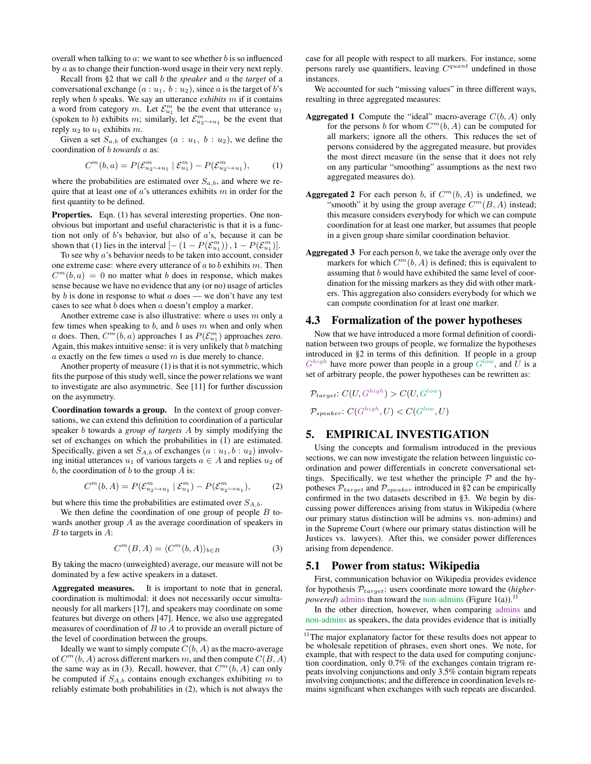overall when talking to  $a$ : we want to see whether  $b$  is so influenced by a as to change their function-word usage in their very next reply.

Recall from §2 that we call b the *speaker* and a the *target* of a conversational exchange  $(a : u_1, b : u_2)$ , since a is the target of b's reply when b speaks. We say an utterance *exhibits* m if it contains a word from category m. Let  $\mathcal{E}_{u_1}^m$  be the event that utterance  $u_1$ (spoken to b) exhibits m; similarly, let  $\mathcal{E}_{u_2 \to u_1}^m$  be the event that reply  $u_2$  to  $u_1$  exhibits m.

Given a set  $S_{a,b}$  of exchanges  $(a: u_1, b: u_2)$ , we define the coordination of b *towards* a as:

$$
C^{m}(b,a) = P(\mathcal{E}_{u_2 \hookrightarrow u_1}^{m} \mid \mathcal{E}_{u_1}^{m}) - P(\mathcal{E}_{u_2 \hookrightarrow u_1}^{m}), \tag{1}
$$

where the probabilities are estimated over  $S_{a,b}$ , and where we require that at least one of  $a$ 's utterances exhibits  $m$  in order for the first quantity to be defined.

Properties. Eqn. (1) has several interesting properties. One nonobvious but important and useful characteristic is that it is a function not only of b's behavior, but also of a's, because it can be shown that (1) lies in the interval  $[-(1 - P(\mathcal{E}_{u_1}^m)), 1 - P(\mathcal{E}_{u_1}^m)]$ .

To see why a's behavior needs to be taken into account, consider one extreme case: where every utterance of  $a$  to  $b$  exhibits  $m$ . Then  $C^m(b,a) = 0$  no matter what b does in response, which makes sense because we have no evidence that any (or no) usage of articles by  $b$  is done in response to what  $a$  does — we don't have any test cases to see what b does when a doesn't employ a marker.

Another extreme case is also illustrative: where  $a$  uses  $m$  only a few times when speaking to b, and b uses  $m$  when and only when a does. Then,  $C^m(b, a)$  approaches 1 as  $P(\mathcal{E}_{u_1}^m)$  approaches zero. Again, this makes intuitive sense: it is very unlikely that  $b$  matching  $a$  exactly on the few times  $a$  used  $m$  is due merely to chance.

Another property of measure (1) is that it is not symmetric, which fits the purpose of this study well, since the power relations we want to investigate are also asymmetric. See [11] for further discussion on the asymmetry.

Coordination towards a group. In the context of group conversations, we can extend this definition to coordination of a particular speaker b towards a *group of targets* A by simply modifying the set of exchanges on which the probabilities in (1) are estimated. Specifically, given a set  $S_{A,b}$  of exchanges  $(a: u_1, b: u_2)$  involving initial utterances  $u_1$  of various targets  $a \in A$  and replies  $u_2$  of b, the coordination of b to the group  $\overline{A}$  is:

$$
C^{m}(b,A) = P(\mathcal{E}_{u_2 \hookrightarrow u_1}^{m} \mid \mathcal{E}_{u_1}^{m}) - P(\mathcal{E}_{u_2 \hookrightarrow u_1}^{m}),
$$
 (2)

but where this time the probabilities are estimated over  $S_{A,b}$ .

We then define the coordination of one group of people  $B$  towards another group  $A$  as the average coordination of speakers in  $B$  to targets in  $A$ :

$$
C^{m}(B, A) = \langle C^{m}(b, A) \rangle_{b \in B}
$$
 (3)

By taking the macro (unweighted) average, our measure will not be dominated by a few active speakers in a dataset.

Aggregated measures. It is important to note that in general, coordination is multimodal: it does not necessarily occur simultaneously for all markers [17], and speakers may coordinate on some features but diverge on others [47]. Hence, we also use aggregated measures of coordination of  $B$  to  $A$  to provide an overall picture of the level of coordination between the groups.

Ideally we want to simply compute  $C(b, A)$  as the macro-average of  $C^m(b, A)$  across different markers m, and then compute  $C(B, A)$ the same way as in (3). Recall, however, that  $C^m(b, A)$  can only be computed if  $S_{A,b}$  contains enough exchanges exhibiting  $m$  to reliably estimate both probabilities in (2), which is not always the

case for all people with respect to all markers. For instance, some persons rarely use quantifiers, leaving  $C^{quant}$  undefined in those instances.

We accounted for such "missing values" in three different ways, resulting in three aggregated measures:

- **Aggregated 1** Compute the "ideal" macro-average  $C(b, A)$  only for the persons b for whom  $C^m(b, A)$  can be computed for all markers; ignore all the others. This reduces the set of persons considered by the aggregated measure, but provides the most direct measure (in the sense that it does not rely on any particular "smoothing" assumptions as the next two aggregated measures do).
- **Aggregated 2** For each person b, if  $C^m(b, A)$  is undefined, we "smooth" it by using the group average  $C^m(B, A)$  instead; this measure considers everybody for which we can compute coordination for at least one marker, but assumes that people in a given group share similar coordination behavior.
- Aggregated 3 For each person b, we take the average only over the markers for which  $C^m(b, A)$  is defined; this is equivalent to assuming that b would have exhibited the same level of coordination for the missing markers as they did with other markers. This aggregation also considers everybody for which we can compute coordination for at least one marker.

#### 4.3 Formalization of the power hypotheses

Now that we have introduced a more formal definition of coordination between two groups of people, we formalize the hypotheses introduced in §2 in terms of this definition. If people in a group  $G^{high}$  have more power than people in a group  $G^{low}$ , and U is a set of arbitrary people, the power hypotheses can be rewritten as:

 $\mathcal{P}_{target}: C(U, G^{high}) > C(U, G^{low})$  $\mathcal{P}_{speaker}$ :  $C(G^{high}, U) < C(G^{low}, U)$ 

# 5. EMPIRICAL INVESTIGATION

Using the concepts and formalism introduced in the previous sections, we can now investigate the relation between linguistic coordination and power differentials in concrete conversational settings. Specifically, we test whether the principle  $P$  and the hypotheses  $\mathcal{P}_{target}$  and  $\mathcal{P}_{speaker}$  introduced in §2 can be empirically confirmed in the two datasets described in §3. We begin by discussing power differences arising from status in Wikipedia (where our primary status distinction will be admins vs. non-admins) and in the Supreme Court (where our primary status distinction will be Justices vs. lawyers). After this, we consider power differences arising from dependence.

#### 5.1 Power from status: Wikipedia

First, communication behavior on Wikipedia provides evidence for hypothesis  $\mathcal{P}_{target}$ : users coordinate more toward the *(higherpowered*) admins than toward the non-admins (Figure 1(a)).<sup>1</sup>

In the other direction, however, when comparing admins and non-admins as speakers, the data provides evidence that is initially

<sup>&</sup>lt;sup>11</sup>The major explanatory factor for these results does not appear to be wholesale repetition of phrases, even short ones. We note, for example, that with respect to the data used for computing conjunction coordination, only 0.7% of the exchanges contain trigram repeats involving conjunctions and only 3.5% contain bigram repeats involving conjunctions; and the difference in coordination levels remains significant when exchanges with such repeats are discarded.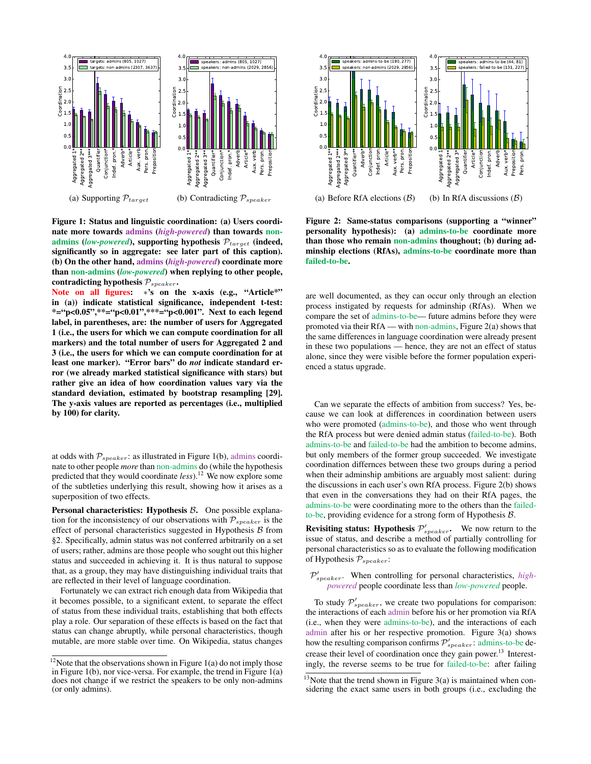

Figure 1: Status and linguistic coordination: (a) Users coordinate more towards admins (*high-powered*) than towards nonadmins (*low-powered*), supporting hypothesis  $\mathcal{P}_{target}$  (indeed, significantly so in aggregate: see later part of this caption). (b) On the other hand, admins (*high-powered*) coordinate more than non-admins (*low-powered*) when replying to other people, contradicting hypothesis  $\mathcal{P}_{speaker}$ .

Note on all figures: \*'s on the x-axis (e.g., "Article\*" in (a)) indicate statistical significance, independent t-test: \*="p<0.05",\*\*="p<0.01",\*\*\*="p<0.001". Next to each legend label, in parentheses, are: the number of users for Aggregated 1 (i.e., the users for which we can compute coordination for all markers) and the total number of users for Aggregated 2 and 3 (i.e., the users for which we can compute coordination for at least one marker). "Error bars" do *not* indicate standard error (we already marked statistical significance with stars) but rather give an idea of how coordination values vary via the standard deviation, estimated by bootstrap resampling [29]. The y-axis values are reported as percentages (i.e., multiplied by 100) for clarity. (a) Supporting  $P_{\text{target}}$ ,  $\frac{1}{2} \begin{vmatrix} \frac{1}{2} & \frac{1}{2} & \frac{1}{2} & \frac{1}{2} & \frac{1}{2} & \frac{1}{2} & \frac{1}{2} & \frac{1}{2} & \frac{1}{2} & \frac{1}{2} & \frac{1}{2} & \frac{1}{2} & \frac{1}{2} & \frac{1}{2} & \frac{1}{2} & \frac{1}{2} & \frac{1}{2} & \frac{1}{2} & \frac{1}{2} & \frac{1}{2} & \frac{1}{2} & \frac{1}{2} & \frac{1}{$ 

at odds with  $P_{speaker}$ : as illustrated in Figure 1(b), admins coordinate to other people *more* than non-admins do (while the hypothesis predicted that they would coordinate *less*).<sup>12</sup> We now explore some of the subtleties underlying this result, showing how it arises as a superposition of two effects.

Personal characteristics: Hypothesis B. One possible explanation for the inconsistency of our observations with  $P_{speaker}$  is the effect of personal characteristics suggested in Hypothesis  $B$  from §2. Specifically, admin status was not conferred arbitrarily on a set of users; rather, admins are those people who sought out this higher status and succeeded in achieving it. It is thus natural to suppose that, as a group, they may have distinguishing individual traits that are reflected in their level of language coordination.

Fortunately we can extract rich enough data from Wikipedia that it becomes possible, to a significant extent, to separate the effect of status from these individual traits, establishing that both effects play a role. Our separation of these effects is based on the fact that status can change abruptly, while personal characteristics, though mutable, are more stable over time. On Wikipedia, status changes



Figure 2: Same-status comparisons (supporting a "winner" personality hypothesis): (a) admins-to-be coordinate more than those who remain non-admins thoughout; (b) during adminship elections (RfAs), admins-to-be coordinate more than failed-to-be.

are well documented, as they can occur only through an election process instigated by requests for adminship (RfAs). When we compare the set of admins-to-be— future admins before they were promoted via their RfA — with non-admins, Figure 2(a) shows that the same differences in language coordination were already present in these two populations — hence, they are not an effect of status alone, since they were visible before the former population experienced a status upgrade.

Can we separate the effects of ambition from success? Yes, because we can look at differences in coordination between users who were promoted (admins-to-be), and those who went through the RfA process but were denied admin status (failed-to-be). Both admins-to-be and failed-to-be had the ambition to become admins, but only members of the former group succeeded. We investigate coordination differnces between these two groups during a period when their adminship ambitions are arguably most salient: during the discussions in each user's own RfA process. Figure 2(b) shows that even in the conversations they had on their RfA pages, the admins-to-be were coordinating more to the others than the failedto-be, providing evidence for a strong form of Hypothesis B.

**Revisiting status:** Hypothesis  $\mathcal{P}'_{\text{speaker}}$ . We now return to the issue of status, and describe a method of partially controlling for personal characteristics so as to evaluate the following modification of Hypothesis  $\mathcal{P}_{speaker}$ :

 $\mathcal{P}'_{speaker}$ . When controlling for personal characteristics, *highpowered* people coordinate less than *low-powered* people.

To study  $\mathcal{P}_{speaker}$ , we create two populations for comparison: the interactions of each admin before his or her promotion via RfA (i.e., when they were admins-to-be), and the interactions of each admin after his or her respective promotion. Figure 3(a) shows how the resulting comparison confirms  $\mathcal{P}'_{speaker}$ : admins-to-be decrease their level of coordination once they gain power.<sup>13</sup> Interestingly, the reverse seems to be true for failed-to-be: after failing

<sup>&</sup>lt;sup>12</sup>Note that the observations shown in Figure 1(a) do not imply those in Figure 1(b), nor vice-versa. For example, the trend in Figure 1(a) does not change if we restrict the speakers to be only non-admins (or only admins).

 $13$ Note that the trend shown in Figure 3(a) is maintained when considering the exact same users in both groups (i.e., excluding the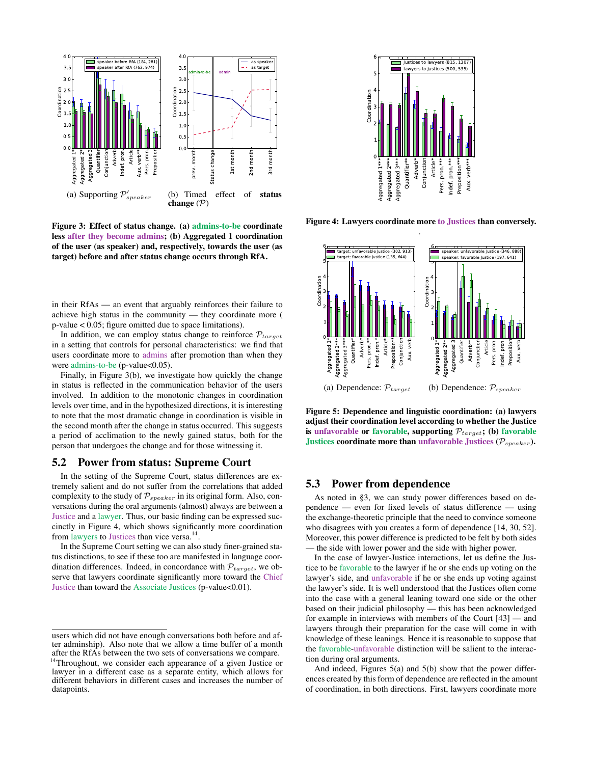

Figure 3: Effect of status change. (a) admins-to-be coordinate less after they become admins; (b) Aggregated 1 coordination of the user (as speaker) and, respectively, towards the user (as target) before and after status change occurs through RfA.

in their RfAs — an event that arguably reinforces their failure to achieve high status in the community — they coordinate more ( p-value < 0.05; figure omitted due to space limitations).

In addition, we can employ status change to reinforce  $\mathcal{P}_{target}$ in a setting that controls for personal characteristics: we find that users coordinate more to admins after promotion than when they were admins-to-be (p-value<0.05).

Finally, in Figure 3(b), we investigate how quickly the change in status is reflected in the communication behavior of the users involved. In addition to the monotonic changes in coordination levels over time, and in the hypothesized directions, it is interesting to note that the most dramatic change in coordination is visible in the second month after the change in status occurred. This suggests a period of acclimation to the newly gained status, both for the person that undergoes the change and for those witnessing it.

#### 5.2 Power from status: Supreme Court

In the setting of the Supreme Court, status differences are extremely salient and do not suffer from the correlations that added complexity to the study of  $\mathcal{P}_{speaker}$  in its original form. Also, conversations during the oral arguments (almost) always are between a Justice and a lawyer. Thus, our basic finding can be expressed succinctly in Figure 4, which shows significantly more coordination from lawyers to Justices than vice versa.<sup>14</sup>.

In the Supreme Court setting we can also study finer-grained status distinctions, to see if these too are manifested in language coordination differences. Indeed, in concordance with  $\mathcal{P}_{target}$ , we observe that lawyers coordinate significantly more toward the Chief Justice than toward the Associate Justices (p-value<0.01).



Figure 4: Lawyers coordinate more to Justices than conversely.



Figure 5: Dependence and linguistic coordination: (a) lawyers adjust their coordination level according to whether the Justice is unfavorable or favorable, supporting  $\mathcal{P}_{target}$ ; (b) favorable Justices coordinate more than unfavorable Justices ( $\mathcal{P}_{speaker}$ ).

# 5.3 Power from dependence

As noted in §3, we can study power differences based on dependence — even for fixed levels of status difference — using the exchange-theoretic principle that the need to convince someone who disagrees with you creates a form of dependence [14, 30, 52]. Moreover, this power difference is predicted to be felt by both sides — the side with lower power and the side with higher power.

In the case of lawyer-Justice interactions, let us define the Justice to be favorable to the lawyer if he or she ends up voting on the lawyer's side, and unfavorable if he or she ends up voting against the lawyer's side. It is well understood that the Justices often come into the case with a general leaning toward one side or the other based on their judicial philosophy — this has been acknowledged for example in interviews with members of the Court [43] — and lawyers through their preparation for the case will come in with knowledge of these leanings. Hence it is reasonable to suppose that the favorable-unfavorable distinction will be salient to the interaction during oral arguments.

And indeed, Figures 5(a) and 5(b) show that the power differences created by this form of dependence are reflected in the amount of coordination, in both directions. First, lawyers coordinate more

users which did not have enough conversations both before and after adminship). Also note that we allow a time buffer of a month after the RfAs between the two sets of conversations we compare.

<sup>&</sup>lt;sup>14</sup>Throughout, we consider each appearance of a given Justice or lawyer in a different case as a separate entity, which allows for different behaviors in different cases and increases the number of datapoints.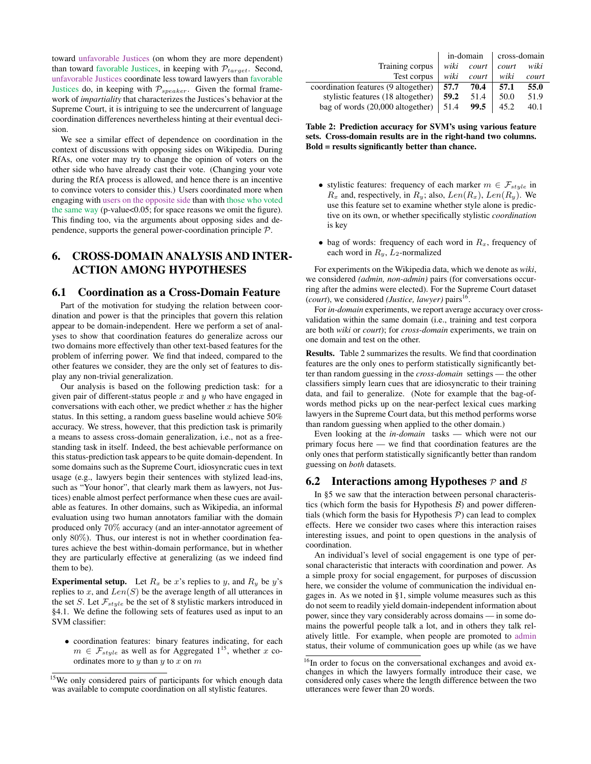toward unfavorable Justices (on whom they are more dependent) than toward favorable Justices, in keeping with  $\mathcal{P}_{target}$ . Second, unfavorable Justices coordinate less toward lawyers than favorable Justices do, in keeping with  $P_{speaker}$ . Given the formal framework of *impartiality* that characterizes the Justices's behavior at the Supreme Court, it is intriguing to see the undercurrent of language coordination differences nevertheless hinting at their eventual decision.

We see a similar effect of dependence on coordination in the context of discussions with opposing sides on Wikipedia. During RfAs, one voter may try to change the opinion of voters on the other side who have already cast their vote. (Changing your vote during the RfA process is allowed, and hence there is an incentive to convince voters to consider this.) Users coordinated more when engaging with users on the opposite side than with those who voted the same way (p-value<0.05; for space reasons we omit the figure). This finding too, via the arguments about opposing sides and dependence, supports the general power-coordination principle P.

# 6. CROSS-DOMAIN ANALYSIS AND INTER-ACTION AMONG HYPOTHESES

### 6.1 Coordination as a Cross-Domain Feature

Part of the motivation for studying the relation between coordination and power is that the principles that govern this relation appear to be domain-independent. Here we perform a set of analyses to show that coordination features do generalize across our two domains more effectively than other text-based features for the problem of inferring power. We find that indeed, compared to the other features we consider, they are the only set of features to display any non-trivial generalization.

Our analysis is based on the following prediction task: for a given pair of different-status people  $x$  and  $y$  who have engaged in conversations with each other, we predict whether  $x$  has the higher status. In this setting, a random guess baseline would achieve 50% accuracy. We stress, however, that this prediction task is primarily a means to assess cross-domain generalization, i.e., not as a freestanding task in itself. Indeed, the best achievable performance on this status-prediction task appears to be quite domain-dependent. In some domains such as the Supreme Court, idiosyncratic cues in text usage (e.g., lawyers begin their sentences with stylized lead-ins, such as "Your honor", that clearly mark them as lawyers, not Justices) enable almost perfect performance when these cues are available as features. In other domains, such as Wikipedia, an informal evaluation using two human annotators familiar with the domain produced only 70% accuracy (and an inter-annotator agreement of only 80%). Thus, our interest is not in whether coordination features achieve the best within-domain performance, but in whether they are particularly effective at generalizing (as we indeed find them to be).

**Experimental setup.** Let  $R_x$  be x's replies to y, and  $R_y$  be y's replies to x, and  $Len(S)$  be the average length of all utterances in the set S. Let  $\mathcal{F}_{style}$  be the set of 8 stylistic markers introduced in §4.1. We define the following sets of features used as input to an SVM classifier:

• coordination features: binary features indicating, for each  $m \in \mathcal{F}_{style}$  as well as for Aggregated  $1^{15}$ , whether x coordinates more to  $y$  than  $y$  to  $x$  on  $m$ 

|                                      | in-domain |       | cross-domain |       |
|--------------------------------------|-----------|-------|--------------|-------|
| Training corpus                      | wiki      | court | court        | wiki  |
| Test corpus                          | wiki      | court | wiki         | court |
| coordination features (9 altogether) | 57.7      | 70.4  | 57.1         | 55.0  |
| stylistic features (18 altogether)   | 59.2      | 51.4  | 50.0         | 51.9  |
| bag of words (20,000 altogether)     | 151.4     | 99.5  | 45.2         | 40.1  |

Table 2: Prediction accuracy for SVM's using various feature sets. Cross-domain results are in the right-hand two columns. Bold = results significantly better than chance.

- stylistic features: frequency of each marker  $m \in \mathcal{F}_{style}$  in  $R_x$  and, respectively, in  $R_y$ ; also,  $Len(R_x)$ ,  $Len(R_y)$ . We use this feature set to examine whether style alone is predictive on its own, or whether specifically stylistic *coordination* is key
- bag of words: frequency of each word in  $R_x$ , frequency of each word in  $R_y$ ,  $L_2$ -normalized

For experiments on the Wikipedia data, which we denote as *wiki*, we considered *(admin, non-admin)* pairs (for conversations occurring after the admins were elected). For the Supreme Court dataset (*court*), we considered (*Justice*, *lawyer*) pairs<sup>16</sup>.

For *in-domain* experiments, we report average accuracy over crossvalidation within the same domain (i.e., training and test corpora are both *wiki* or *court*); for *cross-domain* experiments, we train on one domain and test on the other.

Results. Table 2 summarizes the results. We find that coordination features are the only ones to perform statistically significantly better than random guessing in the *cross-domain* settings — the other classifiers simply learn cues that are idiosyncratic to their training data, and fail to generalize. (Note for example that the bag-ofwords method picks up on the near-perfect lexical cues marking lawyers in the Supreme Court data, but this method performs worse than random guessing when applied to the other domain.)

Even looking at the *in-domain* tasks — which were not our primary focus here — we find that coordination features are the only ones that perform statistically significantly better than random guessing on *both* datasets.

#### 6.2 Interactions among Hypotheses  $P$  and  $B$

In §5 we saw that the interaction between personal characteristics (which form the basis for Hypothesis  $B$ ) and power differentials (which form the basis for Hypothesis  $P$ ) can lead to complex effects. Here we consider two cases where this interaction raises interesting issues, and point to open questions in the analysis of coordination.

An individual's level of social engagement is one type of personal characteristic that interacts with coordination and power. As a simple proxy for social engagement, for purposes of discussion here, we consider the volume of communication the individual engages in. As we noted in §1, simple volume measures such as this do not seem to readily yield domain-independent information about power, since they vary considerably across domains — in some domains the powerful people talk a lot, and in others they talk relatively little. For example, when people are promoted to admin status, their volume of communication goes up while (as we have

<sup>&</sup>lt;sup>15</sup>We only considered pairs of participants for which enough data was available to compute coordination on all stylistic features.

<sup>&</sup>lt;sup>16</sup>In order to focus on the conversational exchanges and avoid exchanges in which the lawyers formally introduce their case, we considered only cases where the length difference between the two utterances were fewer than 20 words.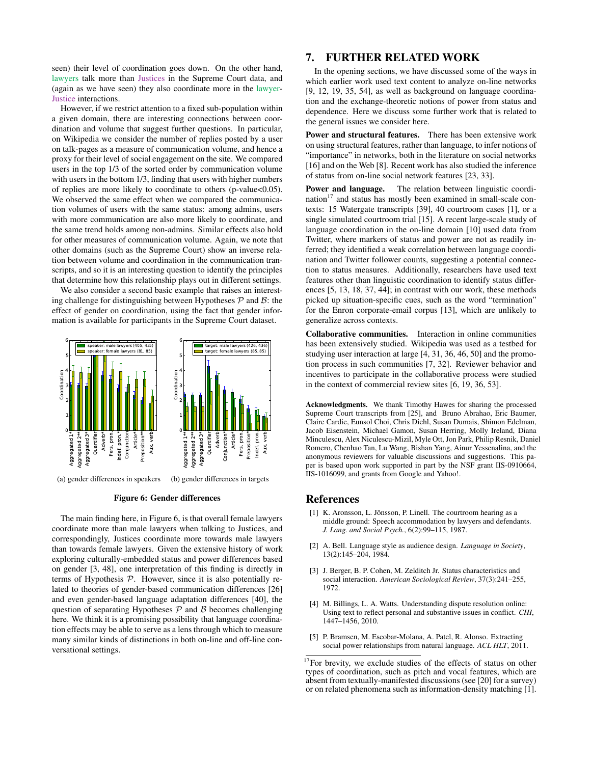seen) their level of coordination goes down. On the other hand, lawyers talk more than Justices in the Supreme Court data, and (again as we have seen) they also coordinate more in the lawyer-Justice interactions.

However, if we restrict attention to a fixed sub-population within a given domain, there are interesting connections between coordination and volume that suggest further questions. In particular, on Wikipedia we consider the number of replies posted by a user on talk-pages as a measure of communication volume, and hence a proxy for their level of social engagement on the site. We compared users in the top 1/3 of the sorted order by communication volume with users in the bottom 1/3, finding that users with higher numbers of replies are more likely to coordinate to others (p-value<0.05). We observed the same effect when we compared the communication volumes of users with the same status: among admins, users with more communication are also more likely to coordinate, and the same trend holds among non-admins. Similar effects also hold for other measures of communication volume. Again, we note that other domains (such as the Supreme Court) show an inverse relation between volume and coordination in the communication transcripts, and so it is an interesting question to identify the principles that determine how this relationship plays out in different settings.

We also consider a second basic example that raises an interesting challenge for distinguishing between Hypotheses  $P$  and  $B$ : the effect of gender on coordination, using the fact that gender information is available for participants in the Supreme Court dataset.



(a) gender differences in speakers (b) gender differences in targets

#### Figure 6: Gender differences

The main finding here, in Figure 6, is that overall female lawyers coordinate more than male lawyers when talking to Justices, and correspondingly, Justices coordinate more towards male lawyers than towards female lawyers. Given the extensive history of work exploring culturally-embedded status and power differences based on gender [3, 48], one interpretation of this finding is directly in terms of Hypothesis  $P$ . However, since it is also potentially related to theories of gender-based communication differences [26] and even gender-based language adaptation differences [40], the question of separating Hypotheses  $P$  and  $B$  becomes challenging here. We think it is a promising possibility that language coordination effects may be able to serve as a lens through which to measure many similar kinds of distinctions in both on-line and off-line conversational settings.

## 7. FURTHER RELATED WORK

In the opening sections, we have discussed some of the ways in which earlier work used text content to analyze on-line networks [9, 12, 19, 35, 54], as well as background on language coordination and the exchange-theoretic notions of power from status and dependence. Here we discuss some further work that is related to the general issues we consider here.

Power and structural features. There has been extensive work on using structural features, rather than language, to infer notions of "importance" in networks, both in the literature on social networks [16] and on the Web [8]. Recent work has also studied the inference of status from on-line social network features [23, 33].

Power and language. The relation between linguistic coordination $17$  and status has mostly been examined in small-scale contexts: 15 Watergate transcripts [39], 40 courtroom cases [1], or a single simulated courtroom trial [15]. A recent large-scale study of language coordination in the on-line domain [10] used data from Twitter, where markers of status and power are not as readily inferred; they identified a weak correlation between language coordination and Twitter follower counts, suggesting a potential connection to status measures. Additionally, researchers have used text features other than linguistic coordination to identify status differences [5, 13, 18, 37, 44]; in contrast with our work, these methods picked up situation-specific cues, such as the word "termination" for the Enron corporate-email corpus [13], which are unlikely to generalize across contexts.

Collaborative communities. Interaction in online communities has been extensively studied. Wikipedia was used as a testbed for studying user interaction at large [4, 31, 36, 46, 50] and the promotion process in such communities [7, 32]. Reviewer behavior and incentives to participate in the collaborative process were studied in the context of commercial review sites [6, 19, 36, 53].

Acknowledgments*.* We thank Timothy Hawes for sharing the processed Supreme Court transcripts from [25], and Bruno Abrahao, Eric Baumer, Claire Cardie, Eunsol Choi, Chris Diehl, Susan Dumais, Shimon Edelman, Jacob Eisenstein, Michael Gamon, Susan Herring, Molly Ireland, Diana Minculescu, Alex Niculescu-Mizil, Myle Ott, Jon Park, Philip Resnik, Daniel Romero, Chenhao Tan, Lu Wang, Bishan Yang, Ainur Yessenalina, and the anonymous reviewers for valuable discussions and suggestions. This paper is based upon work supported in part by the NSF grant IIS-0910664, IIS-1016099, and grants from Google and Yahoo!.

## References

- [1] K. Aronsson, L. Jönsson, P. Linell. The courtroom hearing as a middle ground: Speech accommodation by lawyers and defendants. *J. Lang. and Social Psych.*, 6(2):99–115, 1987.
- [2] A. Bell. Language style as audience design. *Language in Society*, 13(2):145–204, 1984.
- [3] J. Berger, B. P. Cohen, M. Zelditch Jr. Status characteristics and social interaction. *American Sociological Review*, 37(3):241–255, 1972.
- [4] M. Billings, L. A. Watts. Understanding dispute resolution online: Using text to reflect personal and substantive issues in conflict. *CHI*, 1447–1456, 2010.
- [5] P. Bramsen, M. Escobar-Molana, A. Patel, R. Alonso. Extracting social power relationships from natural language. *ACL HLT*, 2011.

<sup>&</sup>lt;sup>17</sup>For brevity, we exclude studies of the effects of status on other types of coordination, such as pitch and vocal features, which are absent from textually-manifested discussions (see [20] for a survey) or on related phenomena such as information-density matching [1].